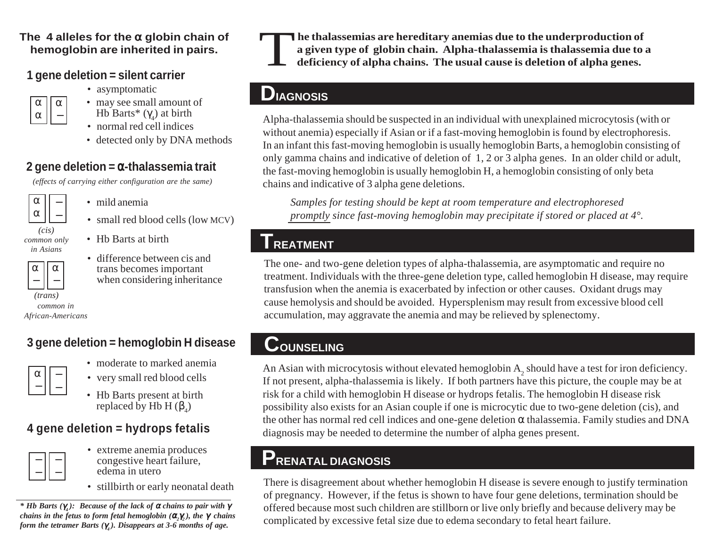#### **The 4 alleles for the**  <sup>α</sup> **globin chain of hemoglobin are inherited in pairs.**

### **1 gene deletion = silent carrier**

• asymptomatic



- may see small amount of Hb Barts\* (γ<sub>4</sub>) at birth
- normal red cell indices
- detected only by DNA methods

### **2 gene deletion =**  <sup>α</sup>**-thalassemia trait**

*(effects of carrying either configuration are the same)*



*common only in Asians*

α

- mild anemia
- small red blood cells (low MCV)
- Hb Barts at birth
	- difference between cis and trans becomes important when considering inheritance

*common in African-Americans (trans)*

α

## **3 gene deletion = hemoglobin H disease**

- moderate to marked anemia
- very small red blood cells
- Hb Barts present at birth replaced by Hb H ( $\beta_{\scriptscriptstyle 4}$ )

### **4 gene deletion = hydrops fetalis**



- extreme anemia produces congestive heart failure, edema in utero
- stillbirth or early neonatal death

*\* Hb Barts (*γ*4 ): Because of the lack of* α *chains to pair with*  γ *chains in the fetus to form fetal hemoglobin (* <sup>α</sup>*2*γ*2 ), the*  γ *chains form the tetramer Barts (γ<sub>4</sub>). Disappears at 3-6 months of age.* 



he thalassemias are hereditary anemias due to the underproduction of<br>a given type of globin chain. Alpha-thalassemia is thalassemia due to a<br>deficiency of alpha chains. The usual cause is deletion of alpha genes.

## **DIAGNOSIS**

Alpha-thalassemia should be suspected in an individual with unexplained microcytosis (with or without anemia) especially if Asian or if a fast-moving hemoglobin is found by electrophoresis. In an infant this fast-moving hemoglobin is usually hemoglobin Barts, a hemoglobin consisting of only gamma chains and indicative of deletion of 1, 2 or 3 alpha genes. In an older child or adult, the fast-moving hemoglobin is usually hemoglobin H, a hemoglobin consisting of only beta chains and indicative of 3 alpha gene deletions.

*Samples for testing should be kept at room temperature and electrophoresed promptly since fast-moving hemoglobin may precipitate if stored or placed at 4°.*

# **TREATMENT**

The one- and two-gene deletion types of alpha-thalassemia, are asymptomatic and require no treatment. Individuals with the three-gene deletion type, called hemoglobin H disease, may require transfusion when the anemia is exacerbated by infection or other causes. Oxidant drugs may cause hemolysis and should be avoided. Hypersplenism may result from excessive blood cell accumulation, may aggravate the anemia and may be relieved by splenectomy.

# **COUNSELING**

An Asian with microcytosis without elevated hemoglobin A<sub>2</sub> should have a test for iron deficiency. If not present, alpha-thalassemia is likely. If both partners have this picture, the couple may be at risk for a child with hemoglobin H disease or hydrops fetalis. The hemoglobin H disease risk possibility also exists for an Asian couple if one is microcytic due to two-gene deletion (cis), and the other has normal red cell indices and one-gene deletion <sup>α</sup> thalassemia. Family studies and DNA diagnosis may be needed to determine the number of alpha genes present.

# **PRENATAL DIAGNOSIS**

There is disagreement about whether hemoglobin H disease is severe enough to justify termination of pregnancy. However, if the fetus is shown to have four gene deletions, termination should be offered because most such children are stillborn or live only briefly and because delivery may be complicated by excessive fetal size due to edema secondary to fetal heart failure.